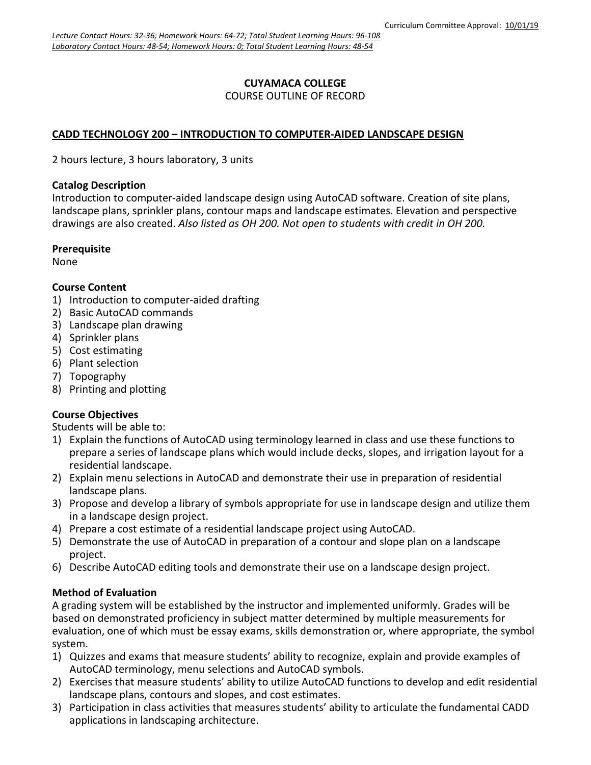### **CUYAMACA COLLEGE** COURSE OUTLINE OF RECORD

# **CADD TECHNOLOGY 200 – INTRODUCTION TO COMPUTER-AIDED LANDSCAPE DESIGN**

2 hours lecture, 3 hours laboratory, 3 units

#### **Catalog Description**

Introduction to computer-aided landscape design using AutoCAD software. Creation of site plans, landscape plans, sprinkler plans, contour maps and landscape estimates. Elevation and perspective drawings are also created. *Also listed as OH 200. Not open to students with credit in OH 200.*

### **Prerequisite**

None

# **Course Content**

- 1) Introduction to computer-aided drafting
- 2) Basic AutoCAD commands
- 3) Landscape plan drawing
- 4) Sprinkler plans
- 5) Cost estimating
- 6) Plant selection
- 7) Topography
- 8) Printing and plotting

# **Course Objectives**

Students will be able to:

- 1) Explain the functions of AutoCAD using terminology learned in class and use these functions to prepare a series of landscape plans which would include decks, slopes, and irrigation layout for a residential landscape.
- 2) Explain menu selections in AutoCAD and demonstrate their use in preparation of residential landscape plans.
- 3) Propose and develop a library of symbols appropriate for use in landscape design and utilize them in a landscape design project.
- 4) Prepare a cost estimate of a residential landscape project using AutoCAD.
- 5) Demonstrate the use of AutoCAD in preparation of a contour and slope plan on a landscape project.
- 6) Describe AutoCAD editing tools and demonstrate their use on a landscape design project.

# **Method of Evaluation**

A grading system will be established by the instructor and implemented uniformly. Grades will be based on demonstrated proficiency in subject matter determined by multiple measurements for evaluation, one of which must be essay exams, skills demonstration or, where appropriate, the symbol system.

- 1) Quizzes and exams that measure students' ability to recognize, explain and provide examples of AutoCAD terminology, menu selections and AutoCAD symbols.
- 2) Exercises that measure students' ability to utilize AutoCAD functions to develop and edit residential landscape plans, contours and slopes, and cost estimates.
- 3) Participation in class activities that measures students' ability to articulate the fundamental CADD applications in landscaping architecture.